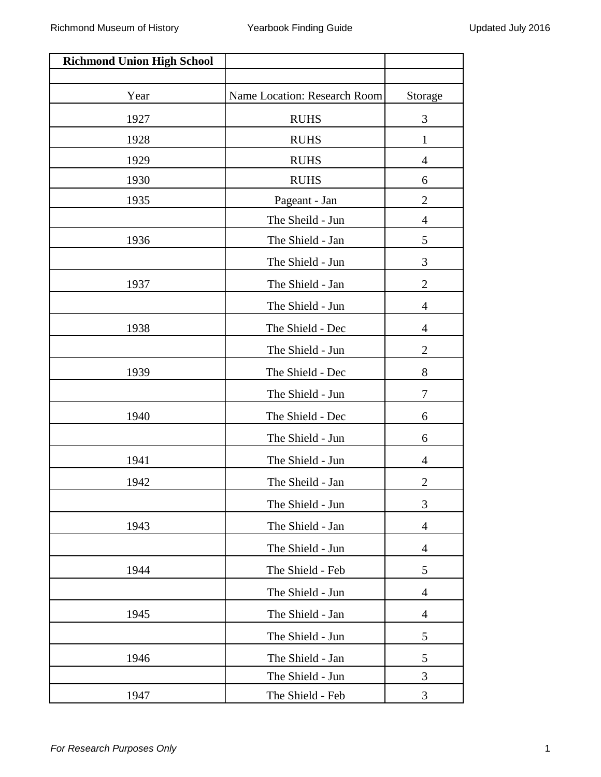| <b>Richmond Union High School</b> |                              |                          |
|-----------------------------------|------------------------------|--------------------------|
|                                   |                              |                          |
| Year                              | Name Location: Research Room | Storage                  |
| 1927                              | <b>RUHS</b>                  | 3                        |
| 1928                              | <b>RUHS</b>                  | 1                        |
| 1929                              | <b>RUHS</b>                  | $\overline{4}$           |
| 1930                              | <b>RUHS</b>                  | 6                        |
| 1935                              | Pageant - Jan                | $\overline{2}$           |
|                                   | The Sheild - Jun             | 4                        |
| 1936                              | The Shield - Jan             | 5                        |
|                                   | The Shield - Jun             | 3                        |
| 1937                              | The Shield - Jan             | $\overline{2}$           |
|                                   | The Shield - Jun             | $\overline{4}$           |
| 1938                              | The Shield - Dec             | $\overline{4}$           |
|                                   | The Shield - Jun             | $\mathbf{2}$             |
| 1939                              | The Shield - Dec             | 8                        |
|                                   | The Shield - Jun             | 7                        |
| 1940                              | The Shield - Dec             | 6                        |
|                                   | The Shield - Jun             | 6                        |
| 1941                              | The Shield - Jun             | $\overline{4}$           |
| 1942                              | The Sheild - Jan             | $\overline{2}$           |
|                                   | The Shield - Jun             | 3                        |
| 1943                              | The Shield - Jan             | $\overline{4}$           |
|                                   | The Shield - Jun             | 4                        |
| 1944                              | The Shield - Feb             | 5                        |
|                                   | The Shield - Jun             | $\overline{\mathcal{A}}$ |
| 1945                              | The Shield - Jan             | $\overline{4}$           |
|                                   | The Shield - Jun             | 5                        |
| 1946                              | The Shield - Jan             | 5                        |
|                                   | The Shield - Jun             | 3                        |
| 1947                              | The Shield - Feb             | 3                        |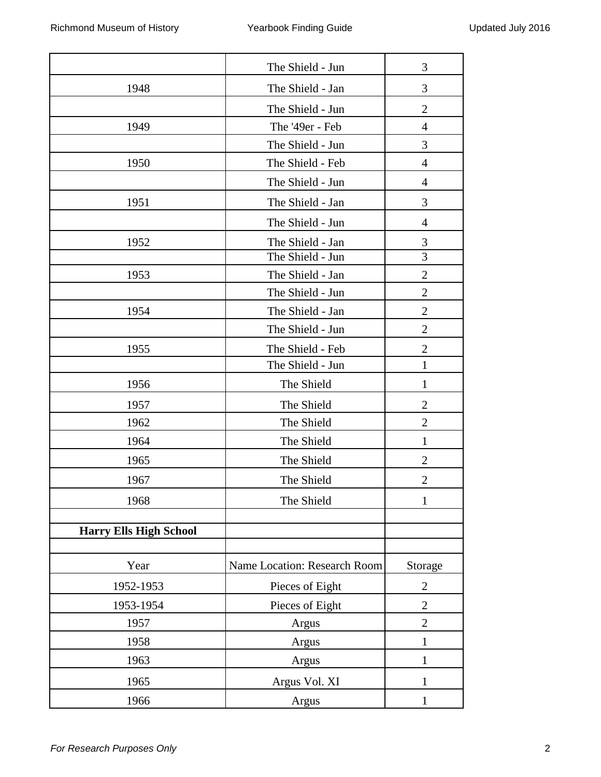|                               | The Shield - Jun             | 3              |
|-------------------------------|------------------------------|----------------|
| 1948                          | The Shield - Jan             | 3              |
|                               | The Shield - Jun             | $\overline{2}$ |
| 1949                          | The '49er - Feb              | $\overline{4}$ |
|                               | The Shield - Jun             | 3              |
| 1950                          | The Shield - Feb             | $\overline{4}$ |
|                               | The Shield - Jun             | $\overline{4}$ |
| 1951                          | The Shield - Jan             | 3              |
|                               | The Shield - Jun             | $\overline{4}$ |
| 1952                          | The Shield - Jan             | 3              |
|                               | The Shield - Jun             | 3              |
| 1953                          | The Shield - Jan             | $\overline{2}$ |
|                               | The Shield - Jun             | $\mathbf{2}$   |
| 1954                          | The Shield - Jan             | $\mathbf{2}$   |
|                               | The Shield - Jun             | $\overline{2}$ |
| 1955                          | The Shield - Feb             | $\overline{2}$ |
|                               | The Shield - Jun             | $\mathbf{1}$   |
| 1956                          | The Shield                   | $\mathbf{1}$   |
| 1957                          | The Shield                   | $\mathbf{2}$   |
| 1962                          | The Shield                   | $\overline{2}$ |
| 1964                          | The Shield                   | $\mathbf 1$    |
| 1965                          | The Shield                   | 2              |
| 1967                          | The Shield                   | $\overline{2}$ |
| 1968                          | The Shield                   | 1              |
|                               |                              |                |
| <b>Harry Ells High School</b> |                              |                |
| Year                          | Name Location: Research Room | Storage        |
| 1952-1953                     |                              | $\mathbf{2}$   |
|                               | Pieces of Eight              |                |
| 1953-1954                     | Pieces of Eight              | $\overline{2}$ |
| 1957                          | Argus                        | $\overline{2}$ |
| 1958                          | Argus                        | $\mathbf{1}$   |
| 1963                          | Argus                        | 1              |
| 1965                          | Argus Vol. XI                | 1              |
| 1966                          | Argus                        | $\mathbf{1}$   |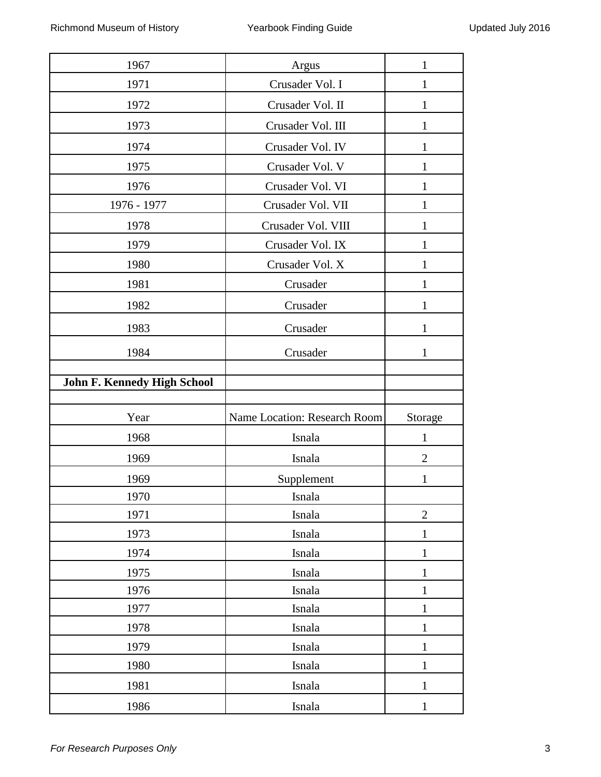| 1967                               | Argus                        | 1              |
|------------------------------------|------------------------------|----------------|
| 1971                               | Crusader Vol. I              |                |
| 1972                               | Crusader Vol. II             | 1              |
| 1973                               | Crusader Vol. III            | 1              |
| 1974                               | Crusader Vol. IV             | 1              |
| 1975                               | Crusader Vol. V              | 1              |
| 1976                               | Crusader Vol. VI             | 1              |
| 1976 - 1977                        | Crusader Vol. VII            | 1              |
| 1978                               | Crusader Vol. VIII           | 1              |
| 1979                               | Crusader Vol. IX             | 1              |
| 1980                               | Crusader Vol. X              | $\mathbf{1}$   |
| 1981                               | Crusader                     | 1              |
| 1982                               | Crusader                     | 1              |
| 1983                               | Crusader                     | $\mathbf{1}$   |
| 1984                               | Crusader                     | $\mathbf{1}$   |
|                                    |                              |                |
| <b>John F. Kennedy High School</b> |                              |                |
| Year                               | Name Location: Research Room | Storage        |
| 1968                               | Isnala                       | 1              |
| 1969                               | Isnala                       | $\overline{2}$ |
| 1969                               | Supplement                   | $\mathbf{1}$   |
| 1970                               | Isnala                       |                |
| 1971                               | Isnala                       | $\overline{2}$ |
| 1973                               | Isnala                       | $\mathbf{1}$   |
| 1974                               | Isnala                       | $\mathbf{1}$   |
| 1975                               | Isnala                       | $\mathbf{1}$   |
| 1976                               | Isnala                       | $\mathbf{1}$   |
| 1977                               | Isnala                       | $\mathbf{1}$   |
| 1978                               | Isnala                       | $\mathbf{1}$   |
| 1979                               | Isnala                       | $\mathbf{1}$   |
| 1980                               | Isnala                       | $\mathbf{1}$   |
|                                    |                              |                |
| 1981                               | Isnala                       | $\mathbf{1}$   |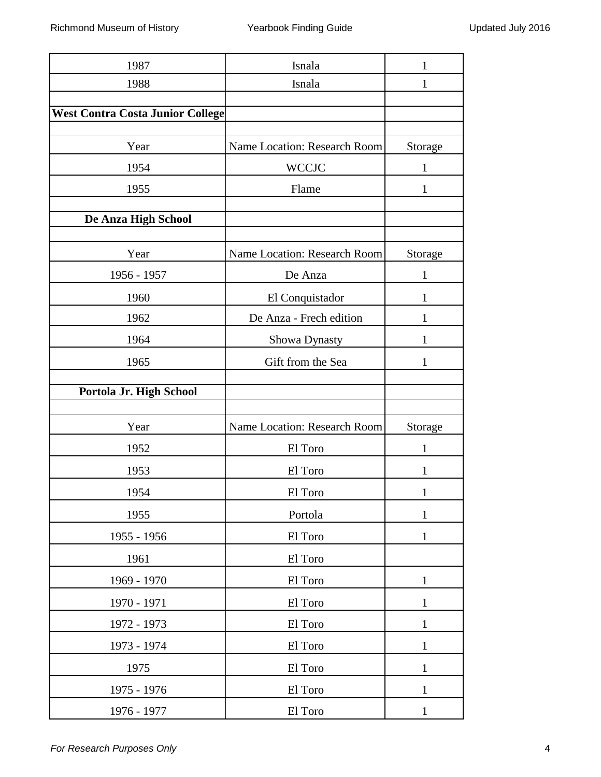| 1987                                    | Isnala                       |              |
|-----------------------------------------|------------------------------|--------------|
| 1988                                    | Isnala                       | 1            |
|                                         |                              |              |
| <b>West Contra Costa Junior College</b> |                              |              |
| Year                                    | Name Location: Research Room | Storage      |
| 1954                                    | <b>WCCJC</b>                 | 1            |
| 1955                                    | Flame                        | 1            |
| De Anza High School                     |                              |              |
|                                         |                              |              |
| Year                                    | Name Location: Research Room | Storage      |
| 1956 - 1957                             | De Anza                      | 1            |
| 1960                                    | El Conquistador              | 1            |
| 1962                                    | De Anza - Frech edition      | 1            |
| 1964                                    | Showa Dynasty                | 1            |
| 1965                                    | Gift from the Sea            | 1            |
| Portola Jr. High School                 |                              |              |
|                                         |                              |              |
| Year                                    | Name Location: Research Room | Storage      |
| 1952                                    | El Toro                      | 1            |
| 1953                                    | El Toro                      | 1            |
| 1954                                    | El Toro                      |              |
| 1955                                    | Portola                      | 1            |
| 1955 - 1956                             | El Toro                      | $\mathbf{1}$ |
| 1961                                    | El Toro                      |              |
| 1969 - 1970                             | El Toro                      | $\mathbf{1}$ |
| 1970 - 1971                             | El Toro                      | $\mathbf{1}$ |
| 1972 - 1973                             | El Toro                      | 1            |
| 1973 - 1974                             | El Toro                      | 1            |
| 1975                                    | El Toro                      | $\mathbf{1}$ |
| 1975 - 1976                             | El Toro                      | $\mathbf{1}$ |
| 1976 - 1977                             | El Toro                      | $\mathbf{1}$ |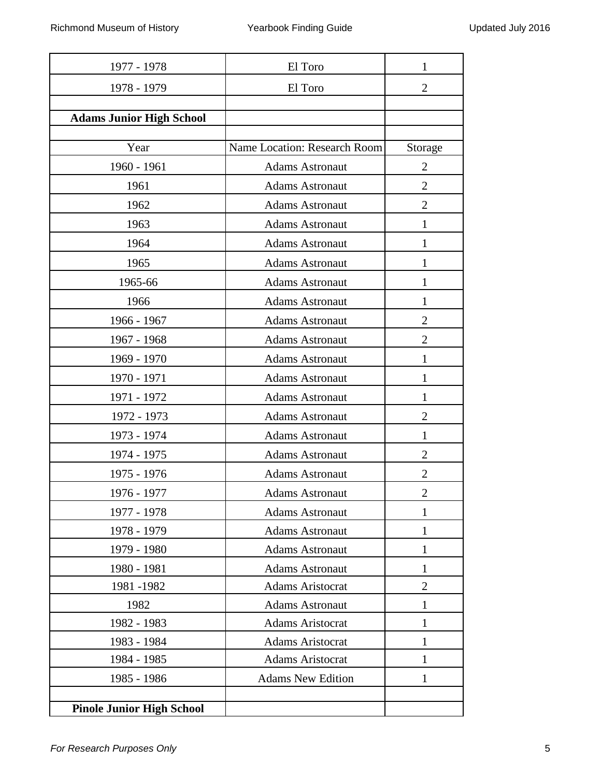| El Toro                      | 1                                                   |
|------------------------------|-----------------------------------------------------|
| El Toro                      | $\overline{2}$                                      |
|                              |                                                     |
|                              |                                                     |
| Name Location: Research Room | Storage                                             |
| <b>Adams Astronaut</b>       | $\overline{2}$                                      |
| <b>Adams Astronaut</b>       | $\overline{2}$                                      |
| <b>Adams Astronaut</b>       | $\overline{2}$                                      |
| <b>Adams Astronaut</b>       |                                                     |
| <b>Adams Astronaut</b>       | 1                                                   |
| <b>Adams Astronaut</b>       | 1                                                   |
| <b>Adams Astronaut</b>       | 1                                                   |
| <b>Adams Astronaut</b>       | 1                                                   |
| <b>Adams Astronaut</b>       | $\overline{2}$                                      |
| <b>Adams Astronaut</b>       | 2                                                   |
| <b>Adams Astronaut</b>       | 1                                                   |
| <b>Adams Astronaut</b>       | 1                                                   |
| <b>Adams Astronaut</b>       | 1                                                   |
| <b>Adams Astronaut</b>       | $\overline{2}$                                      |
| <b>Adams Astronaut</b>       | 1                                                   |
| <b>Adams Astronaut</b>       | $\overline{2}$                                      |
| <b>Adams Astronaut</b>       | $\mathcal{D}_{\mathcal{L}}$                         |
| <b>Adams Astronaut</b>       | $\overline{2}$                                      |
| <b>Adams Astronaut</b>       | 1                                                   |
| <b>Adams Astronaut</b>       | 1                                                   |
| <b>Adams Astronaut</b>       | 1                                                   |
| <b>Adams Astronaut</b>       | 1                                                   |
| <b>Adams Aristocrat</b>      | $\overline{2}$                                      |
| <b>Adams Astronaut</b>       | 1                                                   |
| <b>Adams Aristocrat</b>      | 1                                                   |
| <b>Adams Aristocrat</b>      | 1                                                   |
|                              | 1                                                   |
|                              | 1                                                   |
|                              |                                                     |
|                              | <b>Adams Aristocrat</b><br><b>Adams New Edition</b> |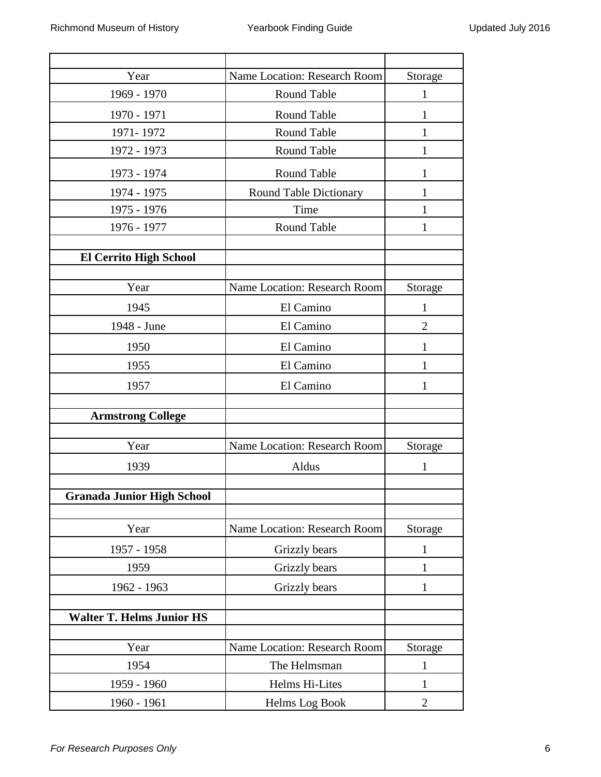| Year                              | Name Location: Research Room | Storage        |
|-----------------------------------|------------------------------|----------------|
| 1969 - 1970                       | Round Table                  | 1              |
| 1970 - 1971                       | <b>Round Table</b>           | 1              |
| 1971-1972                         | <b>Round Table</b>           | 1              |
| 1972 - 1973                       | Round Table                  | 1              |
| 1973 - 1974                       | Round Table                  | 1              |
| 1974 - 1975                       | Round Table Dictionary       |                |
| 1975 - 1976                       | Time                         | 1              |
| 1976 - 1977                       | Round Table                  | 1              |
|                                   |                              |                |
| <b>El Cerrito High School</b>     |                              |                |
| Year                              | Name Location: Research Room | Storage        |
| 1945                              | El Camino                    | 1              |
| 1948 - June                       | El Camino                    | $\overline{2}$ |
| 1950                              | El Camino                    | 1              |
| 1955                              | El Camino                    | 1              |
| 1957                              | El Camino                    | 1              |
|                                   |                              |                |
| <b>Armstrong College</b>          |                              |                |
| Year                              | Name Location: Research Room | Storage        |
| 1939                              | Aldus                        | 1              |
|                                   |                              |                |
| <b>Granada Junior High School</b> |                              |                |
| Year                              | Name Location: Research Room | Storage        |
| 1957 - 1958                       | Grizzly bears                | 1              |
| 1959                              | Grizzly bears                | 1              |
| 1962 - 1963                       | Grizzly bears                | 1              |
|                                   |                              |                |
| <b>Walter T. Helms Junior HS</b>  |                              |                |
| Year                              | Name Location: Research Room | Storage        |
| 1954                              | The Helmsman                 | $\mathbf{1}$   |
| 1959 - 1960                       | Helms Hi-Lites               | 1              |
| 1960 - 1961                       | Helms Log Book               | 2              |